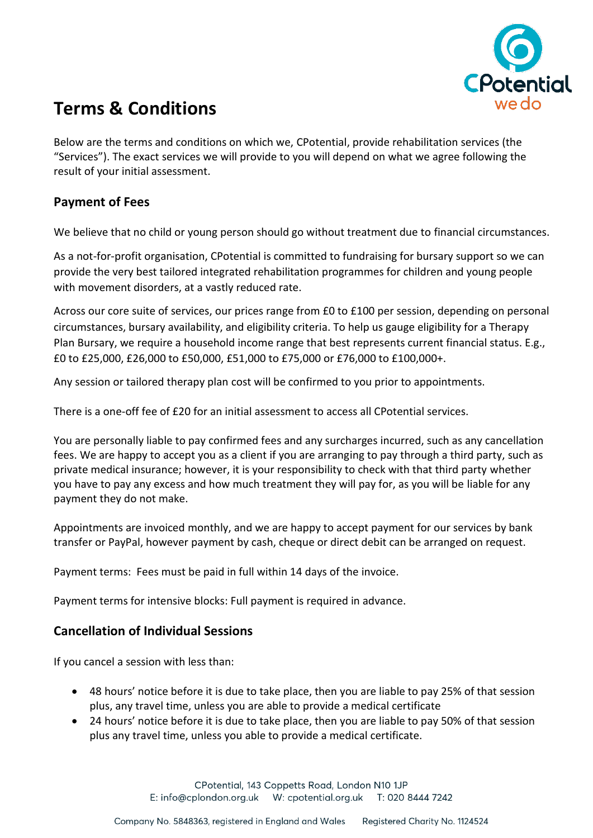

# **Terms & Conditions**

Below are the terms and conditions on which we, CPotential, provide rehabilitation services (the "Services"). The exact services we will provide to you will depend on what we agree following the result of your initial assessment.

# **Payment of Fees**

We believe that no child or young person should go without treatment due to financial circumstances.

As a not-for-profit organisation, CPotential is committed to fundraising for bursary support so we can provide the very best tailored integrated rehabilitation programmes for children and young people with movement disorders, at a vastly reduced rate.

Across our core suite of services, our prices range from £0 to £100 per session, depending on personal circumstances, bursary availability, and eligibility criteria. To help us gauge eligibility for a Therapy Plan Bursary, we require a household income range that best represents current financial status. E.g., £0 to £25,000, £26,000 to £50,000, £51,000 to £75,000 or £76,000 to £100,000+.

Any session or tailored therapy plan cost will be confirmed to you prior to appointments.

There is a one-off fee of £20 for an initial assessment to access all CPotential services.

You are personally liable to pay confirmed fees and any surcharges incurred, such as any cancellation fees. We are happy to accept you as a client if you are arranging to pay through a third party, such as private medical insurance; however, it is your responsibility to check with that third party whether you have to pay any excess and how much treatment they will pay for, as you will be liable for any payment they do not make.

Appointments are invoiced monthly, and we are happy to accept payment for our services by bank transfer or PayPal, however payment by cash, cheque or direct debit can be arranged on request.

Payment terms: Fees must be paid in full within 14 days of the invoice.

Payment terms for intensive blocks: Full payment is required in advance.

## **Cancellation of Individual Sessions**

If you cancel a session with less than:

- 48 hours' notice before it is due to take place, then you are liable to pay 25% of that session plus, any travel time, unless you are able to provide a medical certificate
- 24 hours' notice before it is due to take place, then you are liable to pay 50% of that session plus any travel time, unless you able to provide a medical certificate.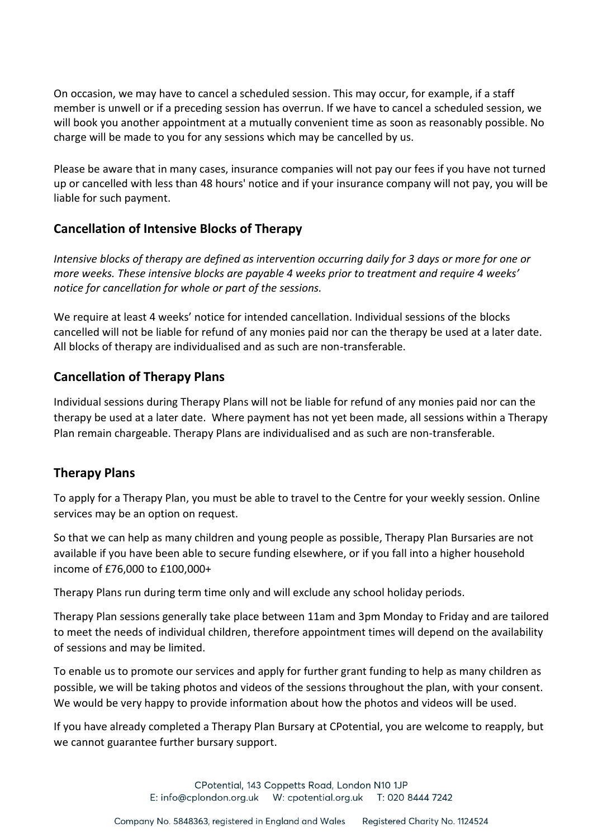On occasion, we may have to cancel a scheduled session. This may occur, for example, if a staff member is unwell or if a preceding session has overrun. If we have to cancel a scheduled session, we will book you another appointment at a mutually convenient time as soon as reasonably possible. No charge will be made to you for any sessions which may be cancelled by us.

Please be aware that in many cases, insurance companies will not pay our fees if you have not turned up or cancelled with less than 48 hours' notice and if your insurance company will not pay, you will be liable for such payment.

## **Cancellation of Intensive Blocks of Therapy**

*Intensive blocks of therapy are defined as intervention occurring daily for 3 days or more for one or more weeks. These intensive blocks are payable 4 weeks prior to treatment and require 4 weeks' notice for cancellation for whole or part of the sessions.*

We require at least 4 weeks' notice for intended cancellation. Individual sessions of the blocks cancelled will not be liable for refund of any monies paid nor can the therapy be used at a later date. All blocks of therapy are individualised and as such are non-transferable.

## **Cancellation of Therapy Plans**

Individual sessions during Therapy Plans will not be liable for refund of any monies paid nor can the therapy be used at a later date. Where payment has not yet been made, all sessions within a Therapy Plan remain chargeable. Therapy Plans are individualised and as such are non-transferable.

## **Therapy Plans**

To apply for a Therapy Plan, you must be able to travel to the Centre for your weekly session. Online services may be an option on request.

So that we can help as many children and young people as possible, Therapy Plan Bursaries are not available if you have been able to secure funding elsewhere, or if you fall into a higher household income of £76,000 to £100,000+

Therapy Plans run during term time only and will exclude any school holiday periods.

Therapy Plan sessions generally take place between 11am and 3pm Monday to Friday and are tailored to meet the needs of individual children, therefore appointment times will depend on the availability of sessions and may be limited.

To enable us to promote our services and apply for further grant funding to help as many children as possible, we will be taking photos and videos of the sessions throughout the plan, with your consent. We would be very happy to provide information about how the photos and videos will be used.

If you have already completed a Therapy Plan Bursary at CPotential, you are welcome to reapply, but we cannot guarantee further bursary support.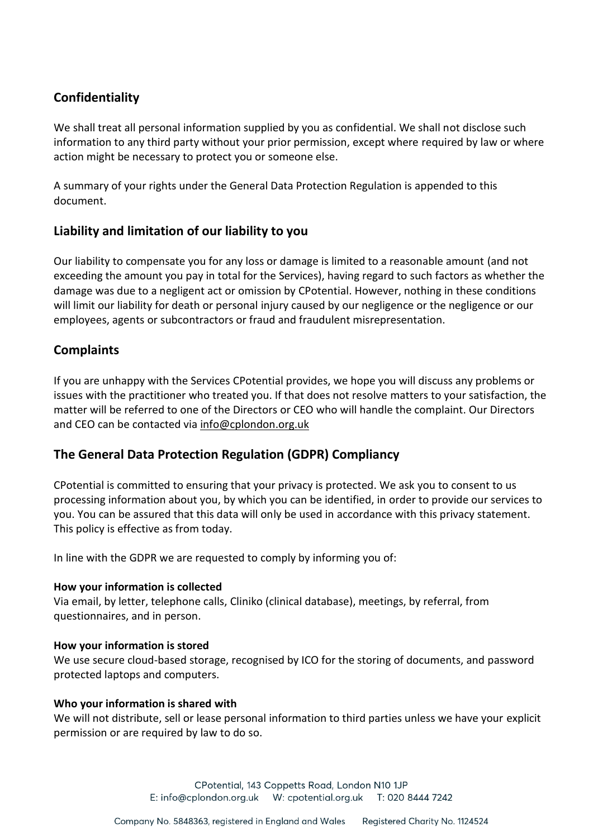# **Confidentiality**

We shall treat all personal information supplied by you as confidential. We shall not disclose such information to any third party without your prior permission, except where required by law or where action might be necessary to protect you or someone else.

A summary of your rights under the General Data Protection Regulation is appended to this document.

## **Liability and limitation of our liability to you**

Our liability to compensate you for any loss or damage is limited to a reasonable amount (and not exceeding the amount you pay in total for the Services), having regard to such factors as whether the damage was due to a negligent act or omission by CPotential. However, nothing in these conditions will limit our liability for death or personal injury caused by our negligence or the negligence or our employees, agents or subcontractors or fraud and fraudulent misrepresentation.

## **Complaints**

If you are unhappy with the Services CPotential provides, we hope you will discuss any problems or issues with the practitioner who treated you. If that does not resolve matters to your satisfaction, the matter will be referred to one of the Directors or CEO who will handle the complaint. Our Directors and CEO can be contacted via [info@cplondon.org.uk](mailto:info@cplondon.org.uk)

## **The General Data Protection Regulation (GDPR) Compliancy**

CPotential is committed to ensuring that your privacy is protected. We ask you to consent to us processing information about you, by which you can be identified, in order to provide our services to you. You can be assured that this data will only be used in accordance with this privacy statement. This policy is effective as from today.

In line with the GDPR we are requested to comply by informing you of:

## **How your information is collected**

Via email, by letter, telephone calls, Cliniko (clinical database), meetings, by referral, from questionnaires, and in person.

## **How your information is stored**

We use secure cloud-based storage, recognised by ICO for the storing of documents, and password protected laptops and computers.

#### **Who your information is shared with**

We will not distribute, sell or lease personal information to third parties unless we have your explicit permission or are required by law to do so.

> CPotential, 143 Coppetts Road, London N10 1JP